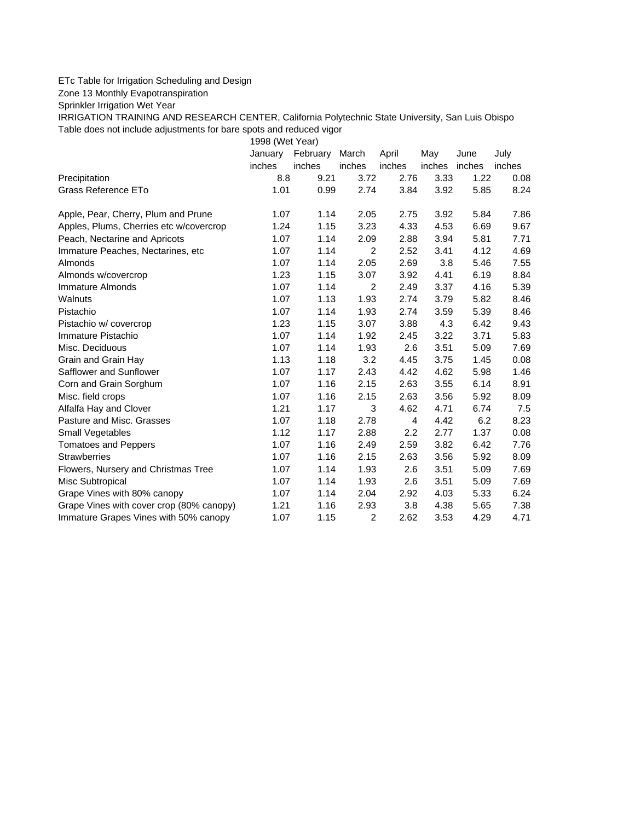## ETc Table for Irrigation Scheduling and Design

Zone 13 Monthly Evapotranspiration

Sprinkler Irrigation Wet Year

IRRIGATION TRAINING AND RESEARCH CENTER, California Polytechnic State University, San Luis Obispo Table does not include adjustments for bare spots and reduced vigor

1998 (Wet Year)

|                                          | January | February | March          | April  | May    | June   | July   |
|------------------------------------------|---------|----------|----------------|--------|--------|--------|--------|
|                                          | inches  | inches   | inches         | inches | inches | inches | inches |
| Precipitation                            | 8.8     | 9.21     | 3.72           | 2.76   | 3.33   | 1.22   | 0.08   |
| Grass Reference ETo                      | 1.01    | 0.99     | 2.74           | 3.84   | 3.92   | 5.85   | 8.24   |
| Apple, Pear, Cherry, Plum and Prune      | 1.07    | 1.14     | 2.05           | 2.75   | 3.92   | 5.84   | 7.86   |
| Apples, Plums, Cherries etc w/covercrop  | 1.24    | 1.15     | 3.23           | 4.33   | 4.53   | 6.69   | 9.67   |
| Peach, Nectarine and Apricots            | 1.07    | 1.14     | 2.09           | 2.88   | 3.94   | 5.81   | 7.71   |
| Immature Peaches, Nectarines, etc        | 1.07    | 1.14     | $\overline{2}$ | 2.52   | 3.41   | 4.12   | 4.69   |
| Almonds                                  | 1.07    | 1.14     | 2.05           | 2.69   | 3.8    | 5.46   | 7.55   |
| Almonds w/covercrop                      | 1.23    | 1.15     | 3.07           | 3.92   | 4.41   | 6.19   | 8.84   |
| Immature Almonds                         | 1.07    | 1.14     | 2              | 2.49   | 3.37   | 4.16   | 5.39   |
| Walnuts                                  | 1.07    | 1.13     | 1.93           | 2.74   | 3.79   | 5.82   | 8.46   |
| Pistachio                                | 1.07    | 1.14     | 1.93           | 2.74   | 3.59   | 5.39   | 8.46   |
| Pistachio w/ covercrop                   | 1.23    | 1.15     | 3.07           | 3.88   | 4.3    | 6.42   | 9.43   |
| Immature Pistachio                       | 1.07    | 1.14     | 1.92           | 2.45   | 3.22   | 3.71   | 5.83   |
| Misc. Deciduous                          | 1.07    | 1.14     | 1.93           | 2.6    | 3.51   | 5.09   | 7.69   |
| Grain and Grain Hay                      | 1.13    | 1.18     | 3.2            | 4.45   | 3.75   | 1.45   | 0.08   |
| Safflower and Sunflower                  | 1.07    | 1.17     | 2.43           | 4.42   | 4.62   | 5.98   | 1.46   |
| Corn and Grain Sorghum                   | 1.07    | 1.16     | 2.15           | 2.63   | 3.55   | 6.14   | 8.91   |
| Misc. field crops                        | 1.07    | 1.16     | 2.15           | 2.63   | 3.56   | 5.92   | 8.09   |
| Alfalfa Hay and Clover                   | 1.21    | 1.17     | 3              | 4.62   | 4.71   | 6.74   | 7.5    |
| Pasture and Misc. Grasses                | 1.07    | 1.18     | 2.78           | 4      | 4.42   | 6.2    | 8.23   |
| Small Vegetables                         | 1.12    | 1.17     | 2.88           | 2.2    | 2.77   | 1.37   | 0.08   |
| <b>Tomatoes and Peppers</b>              | 1.07    | 1.16     | 2.49           | 2.59   | 3.82   | 6.42   | 7.76   |
| <b>Strawberries</b>                      | 1.07    | 1.16     | 2.15           | 2.63   | 3.56   | 5.92   | 8.09   |
| Flowers, Nursery and Christmas Tree      | 1.07    | 1.14     | 1.93           | 2.6    | 3.51   | 5.09   | 7.69   |
| Misc Subtropical                         | 1.07    | 1.14     | 1.93           | 2.6    | 3.51   | 5.09   | 7.69   |
| Grape Vines with 80% canopy              | 1.07    | 1.14     | 2.04           | 2.92   | 4.03   | 5.33   | 6.24   |
| Grape Vines with cover crop (80% canopy) | 1.21    | 1.16     | 2.93           | 3.8    | 4.38   | 5.65   | 7.38   |
| Immature Grapes Vines with 50% canopy    | 1.07    | 1.15     | $\overline{2}$ | 2.62   | 3.53   | 4.29   | 4.71   |